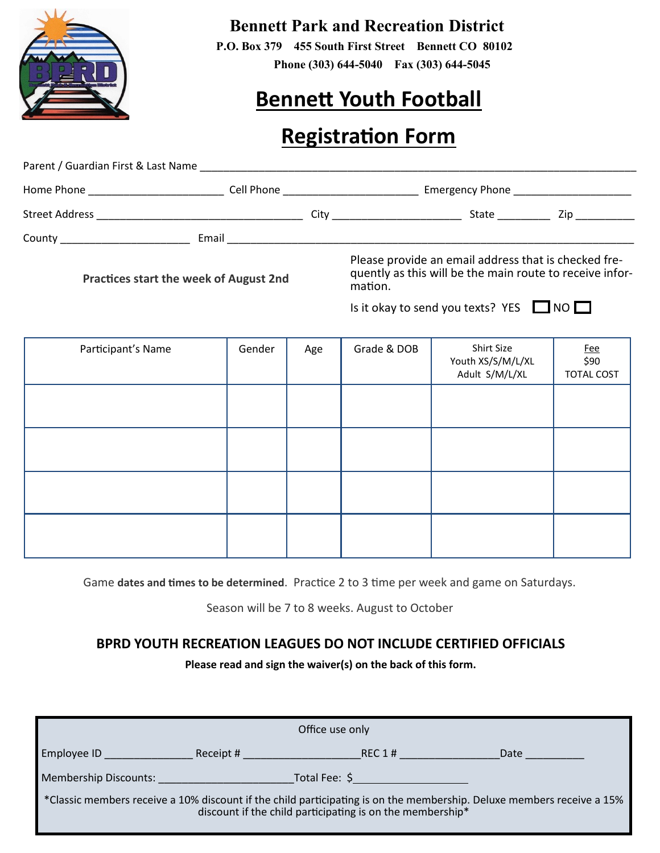

## **Bennett Park and Recreation District**

 **P.O. Box 379 455 South First Street Bennett CO 80102 Phone (303) 644-5040 Fax (303) 644-5045**

# **Bennett Youth Football**

## **Registration Form**

| Parent / Guardian First & Last Name Land and Contract the Contract of the Contract of the Contract of the Contract of the Contract of the Contract of the Contract of the Contract of the Contract of the Contract of the Cont |  |                                                                                                                             |                              |  |  |
|--------------------------------------------------------------------------------------------------------------------------------------------------------------------------------------------------------------------------------|--|-----------------------------------------------------------------------------------------------------------------------------|------------------------------|--|--|
| Home Phone <b>Figure 2018</b>                                                                                                                                                                                                  |  | Emergency Phone <b>Emergency</b> Phone<br><b>Cell Phone Cell Phone</b>                                                      |                              |  |  |
|                                                                                                                                                                                                                                |  |                                                                                                                             | State <u>Constantine Zip</u> |  |  |
|                                                                                                                                                                                                                                |  | Email and the contract of the contract of the contract of the contract of the contract of the contract of the               |                              |  |  |
| Practices start the week of August 2nd                                                                                                                                                                                         |  | Please provide an email address that is checked fre-<br>quently as this will be the main route to receive infor-<br>mation. |                              |  |  |

Is it okay to send you texts? YES  $\Box$  NO  $\Box$ 

| Participant's Name | Gender | Age | Grade & DOB | Shirt Size<br>Youth XS/S/M/L/XL<br>Adult S/M/L/XL | $rac{Fee}{590}$<br><b>TOTAL COST</b> |
|--------------------|--------|-----|-------------|---------------------------------------------------|--------------------------------------|
|                    |        |     |             |                                                   |                                      |
|                    |        |     |             |                                                   |                                      |
|                    |        |     |             |                                                   |                                      |
|                    |        |     |             |                                                   |                                      |

Game **dates and times to be determined**. Practice 2 to 3 time per week and game on Saturdays.

Season will be 7 to 8 weeks. August to October

### **BPRD YOUTH RECREATION LEAGUES DO NOT INCLUDE CERTIFIED OFFICIALS**

**Please read and sign the waiver(s) on the back of this form.**

| Office use only                                                                                                                                                                    |                                                                                                                |                                                                                                                 |      |  |  |  |  |
|------------------------------------------------------------------------------------------------------------------------------------------------------------------------------------|----------------------------------------------------------------------------------------------------------------|-----------------------------------------------------------------------------------------------------------------|------|--|--|--|--|
| <b>Employee ID</b>                                                                                                                                                                 | Receipt # Providence of the second series of the second series of the series of the series of the series of th | REC 1#                                                                                                          | Date |  |  |  |  |
| Membership Discounts:                                                                                                                                                              |                                                                                                                | Total Fee: \$ Products and the set of the set of the set of the set of the set of the set of the set of the set |      |  |  |  |  |
| *Classic members receive a 10% discount if the child participating is on the membership. Deluxe members receive a 15%<br>discount if the child participating is on the membership* |                                                                                                                |                                                                                                                 |      |  |  |  |  |